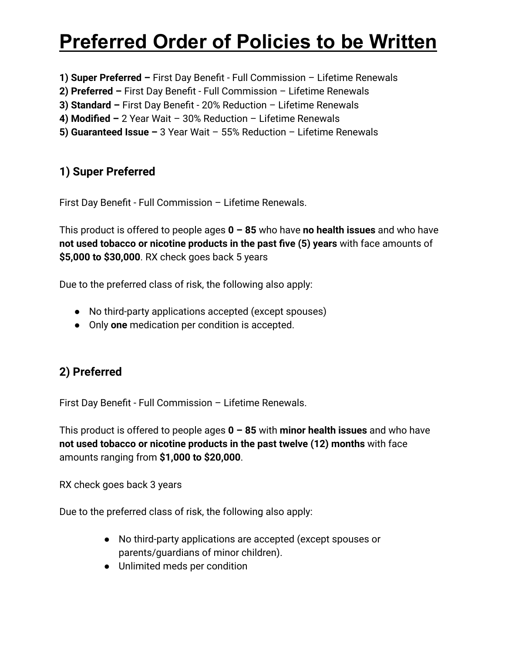# **Preferred Order of Policies to be Written**

- **1) Super Preferred –** First Day Benefit Full Commission Lifetime Renewals
- **2) Preferred –** First Day Benefit Full Commission Lifetime Renewals
- **3) Standard –** First Day Benefit 20% Reduction Lifetime Renewals
- **4) Modified –** 2 Year Wait 30% Reduction Lifetime Renewals
- **5) Guaranteed Issue –** 3 Year Wait 55% Reduction Lifetime Renewals

## **1) Super Preferred**

First Day Benefit - Full Commission – Lifetime Renewals.

This product is offered to people ages **0 – 85** who have **no health issues** and who have **not used tobacco or nicotine products in the past five (5) years** with face amounts of **\$5,000 to \$30,000**. RX check goes back 5 years

Due to the preferred class of risk, the following also apply:

- No third-party applications accepted (except spouses)
- Only **one** medication per condition is accepted.

## **2) Preferred**

First Day Benefit - Full Commission – Lifetime Renewals.

This product is offered to people ages **0 – 85** with **minor health issues** and who have **not used tobacco or nicotine products in the past twelve (12) months** with face amounts ranging from **\$1,000 to \$20,000**.

RX check goes back 3 years

Due to the preferred class of risk, the following also apply:

- No third-party applications are accepted (except spouses or parents/guardians of minor children).
- Unlimited meds per condition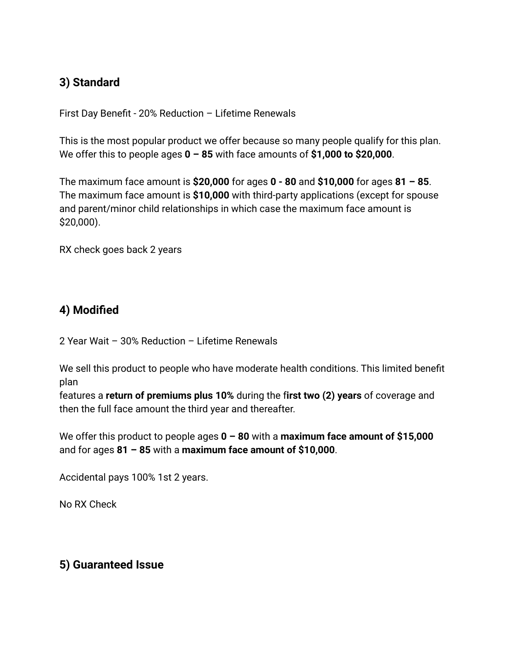### **3) Standard**

First Day Benefit - 20% Reduction – Lifetime Renewals

This is the most popular product we offer because so many people qualify for this plan. We offer this to people ages **0 – 85** with face amounts of **\$1,000 to \$20,000**.

The maximum face amount is **\$20,000** for ages **0 - 80** and **\$10,000** for ages **81 – 85**. The maximum face amount is **\$10,000** with third-party applications (except for spouse and parent/minor child relationships in which case the maximum face amount is \$20,000).

RX check goes back 2 years

### **4) Modified**

2 Year Wait – 30% Reduction – Lifetime Renewals

We sell this product to people who have moderate health conditions. This limited benefit plan

features a **return of premiums plus 10%** during the f**irst two (2) years** of coverage and then the full face amount the third year and thereafter.

We offer this product to people ages **0 – 80** with a **maximum face amount of \$15,000** and for ages **81 – 85** with a **maximum face amount of \$10,000**.

Accidental pays 100% 1st 2 years.

No RX Check

### **5) Guaranteed Issue**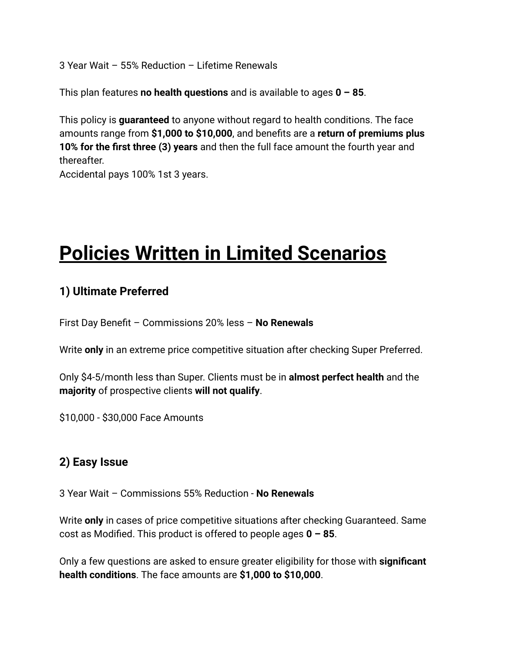3 Year Wait – 55% Reduction – Lifetime Renewals

This plan features **no health questions** and is available to ages **0 – 85**.

This policy is **guaranteed** to anyone without regard to health conditions. The face amounts range from **\$1,000 to \$10,000**, and benefits are a **return of premiums plus 10% for the first three (3) years** and then the full face amount the fourth year and thereafter.

Accidental pays 100% 1st 3 years.

# **Policies Written in Limited Scenarios**

### **1) Ultimate Preferred**

First Day Benefit – Commissions 20% less – **No Renewals**

Write **only** in an extreme price competitive situation after checking Super Preferred.

Only \$4-5/month less than Super. Clients must be in **almost perfect health** and the **majority** of prospective clients **will not qualify**.

\$10,000 - \$30,000 Face Amounts

### **2) Easy Issue**

3 Year Wait – Commissions 55% Reduction - **No Renewals**

Write **only** in cases of price competitive situations after checking Guaranteed. Same cost as Modified. This product is offered to people ages **0 – 85**.

Only a few questions are asked to ensure greater eligibility for those with **significant health conditions**. The face amounts are **\$1,000 to \$10,000**.